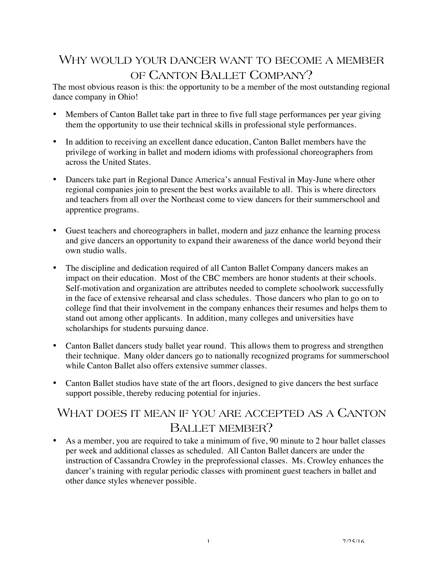# WHY WOULD YOUR DANCER WANT TO BECOME A MEMBER OF CANTON BALLET COMPANY?

The most obvious reason is this: the opportunity to be a member of the most outstanding regional dance company in Ohio!

- Members of Canton Ballet take part in three to five full stage performances per year giving them the opportunity to use their technical skills in professional style performances.
- In addition to receiving an excellent dance education, Canton Ballet members have the privilege of working in ballet and modern idioms with professional choreographers from across the United States.
- Dancers take part in Regional Dance America's annual Festival in May-June where other regional companies join to present the best works available to all. This is where directors and teachers from all over the Northeast come to view dancers for their summerschool and apprentice programs.
- Guest teachers and choreographers in ballet, modern and jazz enhance the learning process and give dancers an opportunity to expand their awareness of the dance world beyond their own studio walls.
- The discipline and dedication required of all Canton Ballet Company dancers makes an impact on their education. Most of the CBC members are honor students at their schools. Self-motivation and organization are attributes needed to complete schoolwork successfully in the face of extensive rehearsal and class schedules. Those dancers who plan to go on to college find that their involvement in the company enhances their resumes and helps them to stand out among other applicants. In addition, many colleges and universities have scholarships for students pursuing dance.
- Canton Ballet dancers study ballet year round. This allows them to progress and strengthen their technique. Many older dancers go to nationally recognized programs for summerschool while Canton Ballet also offers extensive summer classes.
- Canton Ballet studios have state of the art floors, designed to give dancers the best surface support possible, thereby reducing potential for injuries.

# WHAT DOES IT MEAN IF YOU ARE ACCEPTED AS A CANTON BALLET MEMBER?

• As a member, you are required to take a minimum of five, 90 minute to 2 hour ballet classes per week and additional classes as scheduled. All Canton Ballet dancers are under the instruction of Cassandra Crowley in the preprofessional classes. Ms. Crowley enhances the dancer's training with regular periodic classes with prominent guest teachers in ballet and other dance styles whenever possible.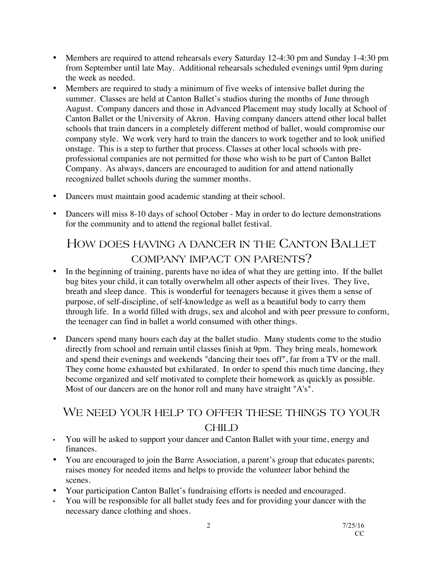- Members are required to attend rehearsals every Saturday 12-4:30 pm and Sunday 1-4:30 pm from September until late May. Additional rehearsals scheduled evenings until 9pm during the week as needed.
- Members are required to study a minimum of five weeks of intensive ballet during the summer. Classes are held at Canton Ballet's studios during the months of June through August. Company dancers and those in Advanced Placement may study locally at School of Canton Ballet or the University of Akron. Having company dancers attend other local ballet schools that train dancers in a completely different method of ballet, would compromise our company style. We work very hard to train the dancers to work together and to look unified onstage. This is a step to further that process. Classes at other local schools with preprofessional companies are not permitted for those who wish to be part of Canton Ballet Company. As always, dancers are encouraged to audition for and attend nationally recognized ballet schools during the summer months.
- Dancers must maintain good academic standing at their school.
- Dancers will miss 8-10 days of school October May in order to do lecture demonstrations for the community and to attend the regional ballet festival.

# HOW DOES HAVING A DANCER IN THE CANTON BALLET COMPANY IMPACT ON PARENTS?

- In the beginning of training, parents have no idea of what they are getting into. If the ballet bug bites your child, it can totally overwhelm all other aspects of their lives. They live, breath and sleep dance. This is wonderful for teenagers because it gives them a sense of purpose, of self-discipline, of self-knowledge as well as a beautiful body to carry them through life. In a world filled with drugs, sex and alcohol and with peer pressure to conform, the teenager can find in ballet a world consumed with other things.
- Dancers spend many hours each day at the ballet studio. Many students come to the studio directly from school and remain until classes finish at 9pm. They bring meals, homework and spend their evenings and weekends "dancing their toes off", far from a TV or the mall. They come home exhausted but exhilarated. In order to spend this much time dancing, they become organized and self motivated to complete their homework as quickly as possible. Most of our dancers are on the honor roll and many have straight "A's".

### WE NEED YOUR HELP TO OFFER THESE THINGS TO YOUR CHILD

- You will be asked to support your dancer and Canton Ballet with your time, energy and finances.
- You are encouraged to join the Barre Association, a parent's group that educates parents; raises money for needed items and helps to provide the volunteer labor behind the scenes.
- Your participation Canton Ballet's fundraising efforts is needed and encouraged.
- You will be responsible for all ballet study fees and for providing your dancer with the necessary dance clothing and shoes.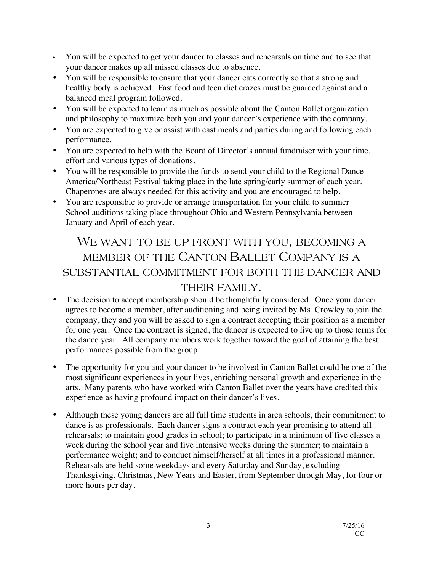- You will be expected to get your dancer to classes and rehearsals on time and to see that your dancer makes up all missed classes due to absence.
- You will be responsible to ensure that your dancer eats correctly so that a strong and healthy body is achieved. Fast food and teen diet crazes must be guarded against and a balanced meal program followed.
- You will be expected to learn as much as possible about the Canton Ballet organization and philosophy to maximize both you and your dancer's experience with the company.
- You are expected to give or assist with cast meals and parties during and following each performance.
- You are expected to help with the Board of Director's annual fundraiser with your time, effort and various types of donations.
- You will be responsible to provide the funds to send your child to the Regional Dance America/Northeast Festival taking place in the late spring/early summer of each year. Chaperones are always needed for this activity and you are encouraged to help.
- You are responsible to provide or arrange transportation for your child to summer School auditions taking place throughout Ohio and Western Pennsylvania between January and April of each year.

## WE WANT TO BE UP FRONT WITH YOU, BECOMING A MEMBER OF THE CANTON BALLET COMPANY IS A SUBSTANTIAL COMMITMENT FOR BOTH THE DANCER AND THEIR FAMILY.

- The decision to accept membership should be thoughtfully considered. Once your dancer agrees to become a member, after auditioning and being invited by Ms. Crowley to join the company, they and you will be asked to sign a contract accepting their position as a member for one year. Once the contract is signed, the dancer is expected to live up to those terms for the dance year. All company members work together toward the goal of attaining the best performances possible from the group.
- The opportunity for you and your dancer to be involved in Canton Ballet could be one of the most significant experiences in your lives, enriching personal growth and experience in the arts. Many parents who have worked with Canton Ballet over the years have credited this experience as having profound impact on their dancer's lives.
- Although these young dancers are all full time students in area schools, their commitment to dance is as professionals. Each dancer signs a contract each year promising to attend all rehearsals; to maintain good grades in school; to participate in a minimum of five classes a week during the school year and five intensive weeks during the summer; to maintain a performance weight; and to conduct himself/herself at all times in a professional manner. Rehearsals are held some weekdays and every Saturday and Sunday, excluding Thanksgiving, Christmas, New Years and Easter, from September through May, for four or more hours per day.